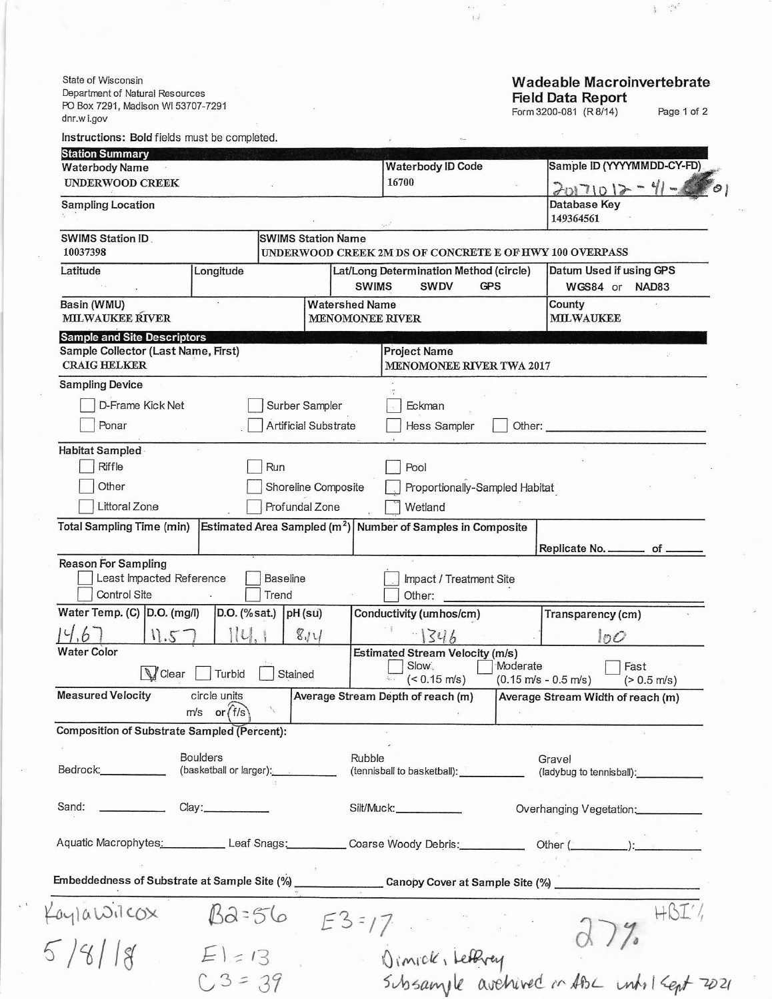State of Wisconsin Department of Natural Resources PO Box 7291, Madison WI 53707-7291 dnr.wi.gov

## Wadeable Macroinvertebrate Field Data Report

Form 3200-081 (R 8/14) Page 1 of 2

 $\mathbb{E} \mathcal{A}$ 

 $\frac{1}{2}$  ,  $\frac{n_d}{2}$ 

| <b>Station Summary</b><br><b>Waterbody Name</b>                        |                  |                           | <b>Waterbody ID Code</b>                                              | Sample ID (YYYYMMDD-CY-FD)                                                       |
|------------------------------------------------------------------------|------------------|---------------------------|-----------------------------------------------------------------------|----------------------------------------------------------------------------------|
| <b>UNDERWOOD CREEK</b>                                                 |                  |                           | 16700                                                                 | $20171012 - 41 -$                                                                |
| <b>Sampling Location</b>                                               |                  |                           |                                                                       | Database Key<br>149364561                                                        |
| <b>SWIMS Station Name</b><br><b>SWIMS Station ID.</b><br>10037398      |                  |                           | UNDERWOOD CREEK 2M DS OF CONCRETE E OF HWY 100 OVERPASS               |                                                                                  |
| Latitude                                                               | Longitude        |                           | Lat/Long Determination Method (circle)<br><b>SWIMS</b><br><b>SWDV</b> | Datum Used if using GPS<br><b>GPS</b><br>WGS84 or NAD83                          |
| Basin (WMU)<br>MILWAUKEE RIVER                                         |                  |                           | <b>Watershed Name</b><br><b>MENOMONEE RIVER</b>                       | County<br><b>MILWAUKEE</b>                                                       |
| <b>Sample and Site Descriptors</b>                                     |                  |                           |                                                                       |                                                                                  |
| Sample Collector (Last Name, First)<br><b>CRAIG HELKER</b>             |                  |                           | <b>Project Name</b><br>MENOMONEE RIVER TWA 2017                       |                                                                                  |
| <b>Sampling Device</b>                                                 |                  |                           |                                                                       |                                                                                  |
| D-Frame Kick Net                                                       |                  | Surber Sampler            | Eckman                                                                |                                                                                  |
| Ponar                                                                  |                  | Artificial Substrate      | Hess Sampler                                                          | Other:                                                                           |
|                                                                        |                  |                           |                                                                       |                                                                                  |
| Habitat Sampled                                                        |                  |                           |                                                                       |                                                                                  |
| Riffle                                                                 |                  | Run                       | Pool                                                                  |                                                                                  |
| Other                                                                  |                  | Shoreline Composite       | Proportionally-Sampled Habitat                                        |                                                                                  |
| Littoral Zone                                                          |                  | Profundal Zone            | Wetland                                                               |                                                                                  |
| <b>Total Sampling Time (min)</b>                                       |                  |                           | Estimated Area Sampled $(m^2)$ Number of Samples in Composite         |                                                                                  |
|                                                                        |                  |                           |                                                                       |                                                                                  |
| <b>Reason For Sampling</b>                                             |                  |                           |                                                                       | Replicate No. _________ of _                                                     |
| Least Impacted Reference<br>Control Site                               |                  | <b>Baseline</b><br>Trend  | Impact / Treatment Site<br>Other:                                     |                                                                                  |
| Water Temp. (C) D.O. (mg/l)                                            |                  | $D.O.$ (% sat.) $pH$ (su) | Conductivity (umhos/cm)                                               | Transparency (cm)                                                                |
| 11.5                                                                   | $  \iota  $      | 814                       | $-1346$                                                               |                                                                                  |
| <b>Water Color</b>                                                     |                  |                           | <b>Estimated Stream Velocity (m/s)</b>                                | 100                                                                              |
| <b>V</b> Clear<br>Turbid<br>Stained                                    |                  |                           | Slow<br>$(< 0.15$ m/s)                                                | Moderate<br>Fast<br>$(0.15 \text{ m/s} - 0.5 \text{ m/s})$                       |
| <b>Measured Velocity</b>                                               | circle units     |                           | Average Stream Depth of reach (m)                                     | $(> 0.5$ m/s)<br>Average Stream Width of reach (m)                               |
|                                                                        | $m/s$ or $(f/s)$ | $\mathcal{L}$             |                                                                       |                                                                                  |
| Composition of Substrate Sampled (Percent):                            |                  |                           |                                                                       |                                                                                  |
| <b>Boulders</b><br>Bedrock:___________<br>(basketball or larger): [11] |                  |                           | Rubble                                                                | Gravel                                                                           |
|                                                                        |                  |                           | (tennisball to basketball): ____________                              | (ladybug to tennisball): _____________                                           |
| Sand:                                                                  |                  |                           | Silt/Muck:___________                                                 | Overhanging Vegetation:                                                          |
|                                                                        |                  |                           |                                                                       | Aquatic Macrophytes: Leaf Snags: Coarse Woody Debris: Other (Community Content): |
| Embeddedness of Substrate at Sample Site (%)                           |                  |                           |                                                                       |                                                                                  |
|                                                                        |                  |                           |                                                                       |                                                                                  |
| $a$ yla $\omega$ ilcox                                                 | $E $ = 13        |                           | $E3 = 17$                                                             | 451                                                                              |

subsample avehived in

 $ABc$  unto  $Kept$  2021

 $C3 = 39$ 

 $\tilde{\mathbf{v}}$